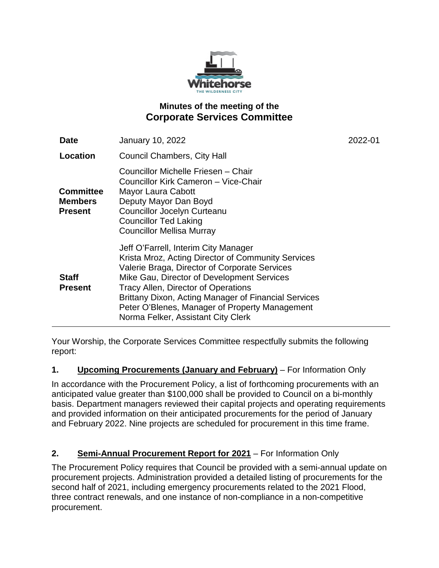

# **Minutes of the meeting of the Corporate Services Committee**

| <b>Date</b>                                          | <b>January 10, 2022</b>                                                                                                                                                                                                                                                                                                                                                                 | 2022-01 |
|------------------------------------------------------|-----------------------------------------------------------------------------------------------------------------------------------------------------------------------------------------------------------------------------------------------------------------------------------------------------------------------------------------------------------------------------------------|---------|
| Location                                             | <b>Council Chambers, City Hall</b>                                                                                                                                                                                                                                                                                                                                                      |         |
| <b>Committee</b><br><b>Members</b><br><b>Present</b> | Councillor Michelle Friesen - Chair<br>Councillor Kirk Cameron - Vice-Chair<br>Mayor Laura Cabott<br>Deputy Mayor Dan Boyd<br><b>Councillor Jocelyn Curteanu</b><br><b>Councillor Ted Laking</b><br><b>Councillor Mellisa Murray</b>                                                                                                                                                    |         |
| <b>Staff</b><br><b>Present</b>                       | Jeff O'Farrell, Interim City Manager<br>Krista Mroz, Acting Director of Community Services<br>Valerie Braga, Director of Corporate Services<br>Mike Gau, Director of Development Services<br><b>Tracy Allen, Director of Operations</b><br>Brittany Dixon, Acting Manager of Financial Services<br>Peter O'Blenes, Manager of Property Management<br>Norma Felker, Assistant City Clerk |         |

Your Worship, the Corporate Services Committee respectfully submits the following report:

## **1. Upcoming Procurements (January and February)** – For Information Only

In accordance with the Procurement Policy, a list of forthcoming procurements with an anticipated value greater than \$100,000 shall be provided to Council on a bi-monthly basis. Department managers reviewed their capital projects and operating requirements and provided information on their anticipated procurements for the period of January and February 2022. Nine projects are scheduled for procurement in this time frame.

# **2. Semi-Annual Procurement Report for 2021** – For Information Only

The Procurement Policy requires that Council be provided with a semi-annual update on procurement projects. Administration provided a detailed listing of procurements for the second half of 2021, including emergency procurements related to the 2021 Flood, three contract renewals, and one instance of non-compliance in a non-competitive procurement.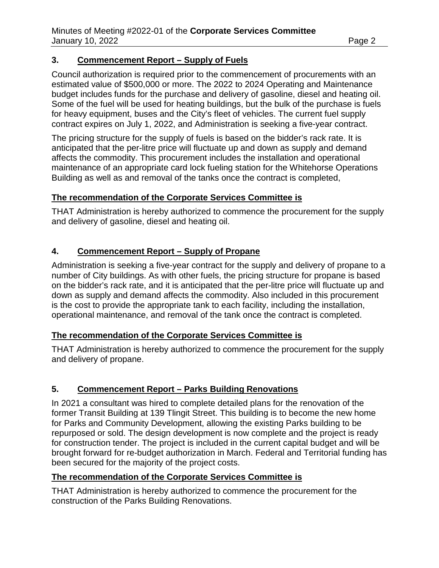#### **3. Commencement Report – Supply of Fuels**

Council authorization is required prior to the commencement of procurements with an estimated value of \$500,000 or more. The 2022 to 2024 Operating and Maintenance budget includes funds for the purchase and delivery of gasoline, diesel and heating oil. Some of the fuel will be used for heating buildings, but the bulk of the purchase is fuels for heavy equipment, buses and the City's fleet of vehicles. The current fuel supply contract expires on July 1, 2022, and Administration is seeking a five-year contract.

The pricing structure for the supply of fuels is based on the bidder's rack rate. It is anticipated that the per-litre price will fluctuate up and down as supply and demand affects the commodity. This procurement includes the installation and operational maintenance of an appropriate card lock fueling station for the Whitehorse Operations Building as well as and removal of the tanks once the contract is completed,

## **The recommendation of the Corporate Services Committee is**

THAT Administration is hereby authorized to commence the procurement for the supply and delivery of gasoline, diesel and heating oil.

## **4. Commencement Report – Supply of Propane**

Administration is seeking a five-year contract for the supply and delivery of propane to a number of City buildings. As with other fuels, the pricing structure for propane is based on the bidder's rack rate, and it is anticipated that the per-litre price will fluctuate up and down as supply and demand affects the commodity. Also included in this procurement is the cost to provide the appropriate tank to each facility, including the installation, operational maintenance, and removal of the tank once the contract is completed.

## **The recommendation of the Corporate Services Committee is**

THAT Administration is hereby authorized to commence the procurement for the supply and delivery of propane.

## **5. Commencement Report – Parks Building Renovations**

In 2021 a consultant was hired to complete detailed plans for the renovation of the former Transit Building at 139 Tlingit Street. This building is to become the new home for Parks and Community Development, allowing the existing Parks building to be repurposed or sold. The design development is now complete and the project is ready for construction tender. The project is included in the current capital budget and will be brought forward for re-budget authorization in March. Federal and Territorial funding has been secured for the majority of the project costs.

## **The recommendation of the Corporate Services Committee is**

THAT Administration is hereby authorized to commence the procurement for the construction of the Parks Building Renovations.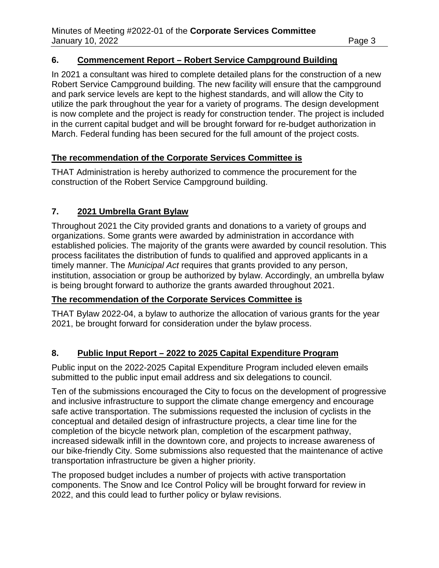#### **6. Commencement Report – Robert Service Campground Building**

In 2021 a consultant was hired to complete detailed plans for the construction of a new Robert Service Campground building. The new facility will ensure that the campground and park service levels are kept to the highest standards, and will allow the City to utilize the park throughout the year for a variety of programs. The design development is now complete and the project is ready for construction tender. The project is included in the current capital budget and will be brought forward for re-budget authorization in March. Federal funding has been secured for the full amount of the project costs.

#### **The recommendation of the Corporate Services Committee is**

THAT Administration is hereby authorized to commence the procurement for the construction of the Robert Service Campground building.

## **7. 2021 Umbrella Grant Bylaw**

Throughout 2021 the City provided grants and donations to a variety of groups and organizations. Some grants were awarded by administration in accordance with established policies. The majority of the grants were awarded by council resolution. This process facilitates the distribution of funds to qualified and approved applicants in a timely manner. The *Municipal Act* requires that grants provided to any person, institution, association or group be authorized by bylaw. Accordingly, an umbrella bylaw is being brought forward to authorize the grants awarded throughout 2021.

## **The recommendation of the Corporate Services Committee is**

THAT Bylaw 2022-04, a bylaw to authorize the allocation of various grants for the year 2021, be brought forward for consideration under the bylaw process.

## **8. Public Input Report – 2022 to 2025 Capital Expenditure Program**

Public input on the 2022-2025 Capital Expenditure Program included eleven emails submitted to the public input email address and six delegations to council.

Ten of the submissions encouraged the City to focus on the development of progressive and inclusive infrastructure to support the climate change emergency and encourage safe active transportation. The submissions requested the inclusion of cyclists in the conceptual and detailed design of infrastructure projects, a clear time line for the completion of the bicycle network plan, completion of the escarpment pathway, increased sidewalk infill in the downtown core, and projects to increase awareness of our bike-friendly City. Some submissions also requested that the maintenance of active transportation infrastructure be given a higher priority.

The proposed budget includes a number of projects with active transportation components. The Snow and Ice Control Policy will be brought forward for review in 2022, and this could lead to further policy or bylaw revisions.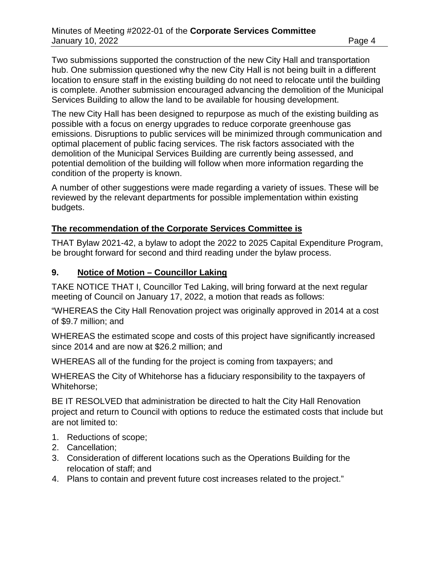Two submissions supported the construction of the new City Hall and transportation hub. One submission questioned why the new City Hall is not being built in a different location to ensure staff in the existing building do not need to relocate until the building is complete. Another submission encouraged advancing the demolition of the Municipal Services Building to allow the land to be available for housing development.

The new City Hall has been designed to repurpose as much of the existing building as possible with a focus on energy upgrades to reduce corporate greenhouse gas emissions. Disruptions to public services will be minimized through communication and optimal placement of public facing services. The risk factors associated with the demolition of the Municipal Services Building are currently being assessed, and potential demolition of the building will follow when more information regarding the condition of the property is known.

A number of other suggestions were made regarding a variety of issues. These will be reviewed by the relevant departments for possible implementation within existing budgets.

#### **The recommendation of the Corporate Services Committee is**

THAT Bylaw 2021-42, a bylaw to adopt the 2022 to 2025 Capital Expenditure Program, be brought forward for second and third reading under the bylaw process.

#### **9. Notice of Motion – Councillor Laking**

TAKE NOTICE THAT I, Councillor Ted Laking, will bring forward at the next regular meeting of Council on January 17, 2022, a motion that reads as follows:

"WHEREAS the City Hall Renovation project was originally approved in 2014 at a cost of \$9.7 million; and

WHEREAS the estimated scope and costs of this project have significantly increased since 2014 and are now at \$26.2 million; and

WHEREAS all of the funding for the project is coming from taxpayers; and

WHEREAS the City of Whitehorse has a fiduciary responsibility to the taxpayers of Whitehorse;

BE IT RESOLVED that administration be directed to halt the City Hall Renovation project and return to Council with options to reduce the estimated costs that include but are not limited to:

- 1. Reductions of scope;
- 2. Cancellation;
- 3. Consideration of different locations such as the Operations Building for the relocation of staff; and
- 4. Plans to contain and prevent future cost increases related to the project."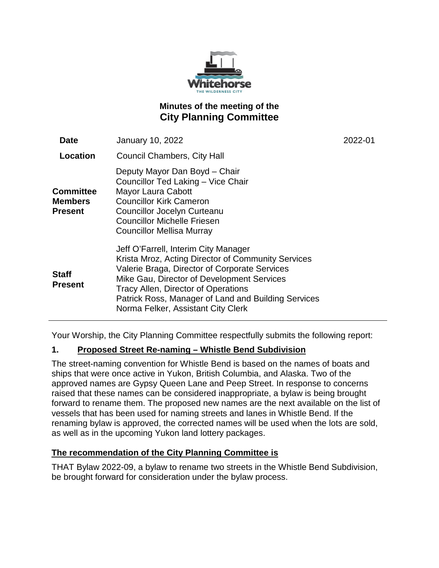

# **Minutes of the meeting of the City Planning Committee**

| <b>Date</b>                                          | <b>January 10, 2022</b>                                                                                                                                                                                                                                                                                                       | 2022-01 |
|------------------------------------------------------|-------------------------------------------------------------------------------------------------------------------------------------------------------------------------------------------------------------------------------------------------------------------------------------------------------------------------------|---------|
| Location                                             | <b>Council Chambers, City Hall</b>                                                                                                                                                                                                                                                                                            |         |
| <b>Committee</b><br><b>Members</b><br><b>Present</b> | Deputy Mayor Dan Boyd - Chair<br>Councillor Ted Laking - Vice Chair<br>Mayor Laura Cabott<br><b>Councillor Kirk Cameron</b><br><b>Councillor Jocelyn Curteanu</b><br><b>Councillor Michelle Friesen</b><br><b>Councillor Mellisa Murray</b>                                                                                   |         |
| <b>Staff</b><br><b>Present</b>                       | Jeff O'Farrell, Interim City Manager<br>Krista Mroz, Acting Director of Community Services<br>Valerie Braga, Director of Corporate Services<br>Mike Gau, Director of Development Services<br>Tracy Allen, Director of Operations<br>Patrick Ross, Manager of Land and Building Services<br>Norma Felker, Assistant City Clerk |         |

Your Worship, the City Planning Committee respectfully submits the following report:

## **1. Proposed Street Re-naming – Whistle Bend Subdivision**

The street-naming convention for Whistle Bend is based on the names of boats and ships that were once active in Yukon, British Columbia, and Alaska. Two of the approved names are Gypsy Queen Lane and Peep Street. In response to concerns raised that these names can be considered inappropriate, a bylaw is being brought forward to rename them. The proposed new names are the next available on the list of vessels that has been used for naming streets and lanes in Whistle Bend. If the renaming bylaw is approved, the corrected names will be used when the lots are sold, as well as in the upcoming Yukon land lottery packages.

#### **The recommendation of the City Planning Committee is**

THAT Bylaw 2022-09, a bylaw to rename two streets in the Whistle Bend Subdivision, be brought forward for consideration under the bylaw process.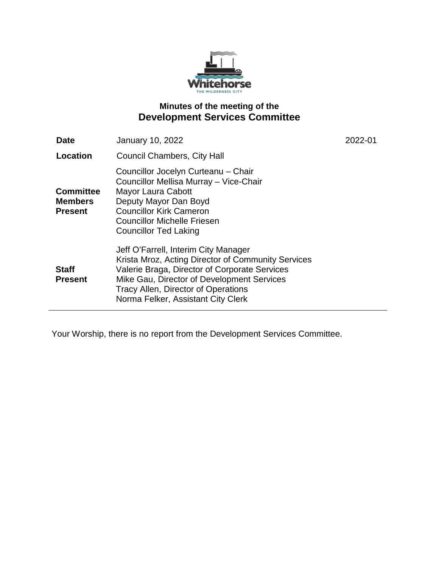

# **Minutes of the meeting of the Development Services Committee**

| Date                                                 | <b>January 10, 2022</b>                                                                                                                                                                                                                                                       | 2022-01 |
|------------------------------------------------------|-------------------------------------------------------------------------------------------------------------------------------------------------------------------------------------------------------------------------------------------------------------------------------|---------|
| <b>Location</b>                                      | <b>Council Chambers, City Hall</b>                                                                                                                                                                                                                                            |         |
| <b>Committee</b><br><b>Members</b><br><b>Present</b> | Councillor Jocelyn Curteanu - Chair<br>Councillor Mellisa Murray - Vice-Chair<br>Mayor Laura Cabott<br>Deputy Mayor Dan Boyd<br><b>Councillor Kirk Cameron</b><br><b>Councillor Michelle Friesen</b><br><b>Councillor Ted Laking</b>                                          |         |
| <b>Staff</b><br><b>Present</b>                       | Jeff O'Farrell, Interim City Manager<br>Krista Mroz, Acting Director of Community Services<br>Valerie Braga, Director of Corporate Services<br>Mike Gau, Director of Development Services<br><b>Tracy Allen, Director of Operations</b><br>Norma Felker, Assistant City Clerk |         |

Your Worship, there is no report from the Development Services Committee.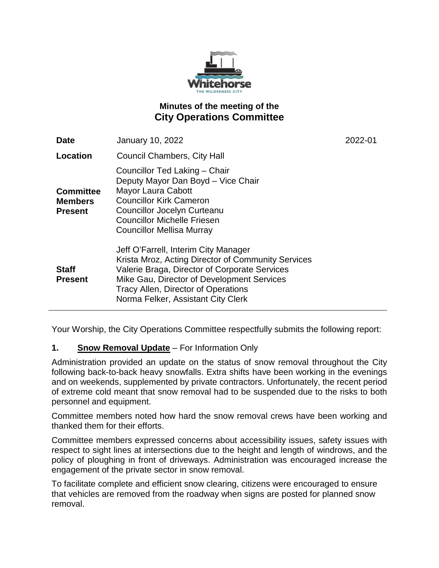

# **Minutes of the meeting of the City Operations Committee**

| <b>Date</b>                                          | <b>January 10, 2022</b>                                                                                                                                                                                                                                                       | 2022-01 |
|------------------------------------------------------|-------------------------------------------------------------------------------------------------------------------------------------------------------------------------------------------------------------------------------------------------------------------------------|---------|
| Location                                             | Council Chambers, City Hall                                                                                                                                                                                                                                                   |         |
| <b>Committee</b><br><b>Members</b><br><b>Present</b> | Councillor Ted Laking - Chair<br>Deputy Mayor Dan Boyd - Vice Chair<br>Mayor Laura Cabott<br><b>Councillor Kirk Cameron</b><br>Councillor Jocelyn Curteanu<br><b>Councillor Michelle Friesen</b><br><b>Councillor Mellisa Murray</b>                                          |         |
| <b>Staff</b><br><b>Present</b>                       | Jeff O'Farrell, Interim City Manager<br>Krista Mroz, Acting Director of Community Services<br>Valerie Braga, Director of Corporate Services<br>Mike Gau, Director of Development Services<br><b>Tracy Allen, Director of Operations</b><br>Norma Felker, Assistant City Clerk |         |

Your Worship, the City Operations Committee respectfully submits the following report:

## **1. Snow Removal Update** – For Information Only

Administration provided an update on the status of snow removal throughout the City following back-to-back heavy snowfalls. Extra shifts have been working in the evenings and on weekends, supplemented by private contractors. Unfortunately, the recent period of extreme cold meant that snow removal had to be suspended due to the risks to both personnel and equipment.

Committee members noted how hard the snow removal crews have been working and thanked them for their efforts.

Committee members expressed concerns about accessibility issues, safety issues with respect to sight lines at intersections due to the height and length of windrows, and the policy of ploughing in front of driveways. Administration was encouraged increase the engagement of the private sector in snow removal.

To facilitate complete and efficient snow clearing, citizens were encouraged to ensure that vehicles are removed from the roadway when signs are posted for planned snow removal.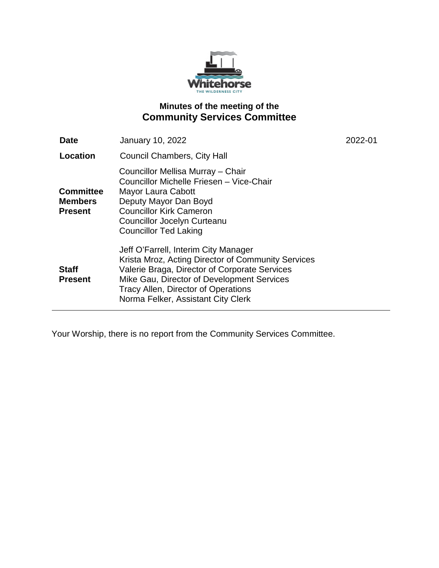

# **Minutes of the meeting of the Community Services Committee**

| Date                                                 | January 10, 2022                                                                                                                                                                                                                                                              | 2022-01 |
|------------------------------------------------------|-------------------------------------------------------------------------------------------------------------------------------------------------------------------------------------------------------------------------------------------------------------------------------|---------|
| Location                                             | <b>Council Chambers, City Hall</b>                                                                                                                                                                                                                                            |         |
| <b>Committee</b><br><b>Members</b><br><b>Present</b> | Councillor Mellisa Murray - Chair<br>Councillor Michelle Friesen - Vice-Chair<br>Mayor Laura Cabott<br>Deputy Mayor Dan Boyd<br><b>Councillor Kirk Cameron</b><br><b>Councillor Jocelyn Curteanu</b><br><b>Councillor Ted Laking</b>                                          |         |
| <b>Staff</b><br><b>Present</b>                       | Jeff O'Farrell, Interim City Manager<br>Krista Mroz, Acting Director of Community Services<br>Valerie Braga, Director of Corporate Services<br>Mike Gau, Director of Development Services<br><b>Tracy Allen, Director of Operations</b><br>Norma Felker, Assistant City Clerk |         |

Your Worship, there is no report from the Community Services Committee.